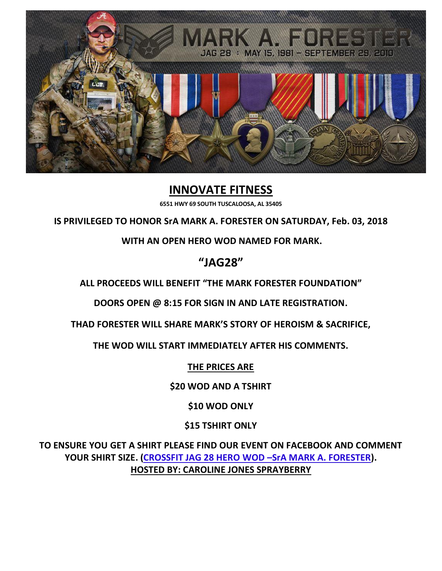

**INNOVATE FITNESS**

**6551 HWY 69 SOUTH TUSCALOOSA, AL 35405**

**IS PRIVILEGED TO HONOR SrA MARK A. FORESTER ON SATURDAY, Feb. 03, 2018**

**WITH AN OPEN HERO WOD NAMED FOR MARK.**

## **"JAG28"**

**ALL PROCEEDS WILL BENEFIT "THE MARK FORESTER FOUNDATION"**

**DOORS OPEN @ 8:15 FOR SIGN IN AND LATE REGISTRATION.**

**THAD FORESTER WILL SHARE MARK'S STORY OF HEROISM & SACRIFICE,**

**THE WOD WILL START IMMEDIATELY AFTER HIS COMMENTS.**

**THE PRICES ARE**

**\$20 WOD AND A TSHIRT**

**\$10 WOD ONLY**

**\$15 TSHIRT ONLY**

**TO ENSURE YOU GET A SHIRT PLEASE FIND OUR EVENT ON FACEBOOK AND COMMENT YOUR SHIRT SIZE. (CROSSFIT JAG 28 HERO WOD –SrA MARK A. FORESTER). HOSTED BY: CAROLINE JONES SPRAYBERRY**